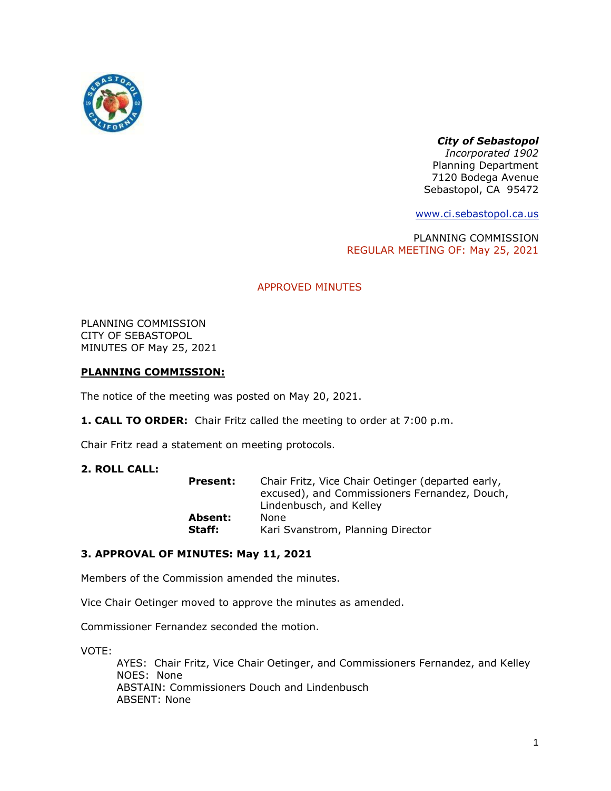

# *City of Sebastopol*

*Incorporated 1902* Planning Department 7120 Bodega Avenue Sebastopol, CA 95472

[www.ci.sebastopol.ca.us](http://www.ci.sebastopol.ca.us/)

PLANNING COMMISSION REGULAR MEETING OF: May 25, 2021

# APPROVED MINUTES

PLANNING COMMISSION CITY OF SEBASTOPOL MINUTES OF May 25, 2021

# **PLANNING COMMISSION:**

The notice of the meeting was posted on May 20, 2021.

**1. CALL TO ORDER:** Chair Fritz called the meeting to order at 7:00 p.m.

Chair Fritz read a statement on meeting protocols.

#### **2. ROLL CALL:**

| <b>Present:</b> | Chair Fritz, Vice Chair Oetinger (departed early,<br>excused), and Commissioners Fernandez, Douch,<br>Lindenbusch, and Kelley |
|-----------------|-------------------------------------------------------------------------------------------------------------------------------|
| Absent:         | None                                                                                                                          |
| Staff:          | Kari Svanstrom, Planning Director                                                                                             |

#### **3. APPROVAL OF MINUTES: May 11, 2021**

Members of the Commission amended the minutes.

Vice Chair Oetinger moved to approve the minutes as amended.

Commissioner Fernandez seconded the motion.

VOTE:

AYES: Chair Fritz, Vice Chair Oetinger, and Commissioners Fernandez, and Kelley NOES: None ABSTAIN: Commissioners Douch and Lindenbusch ABSENT: None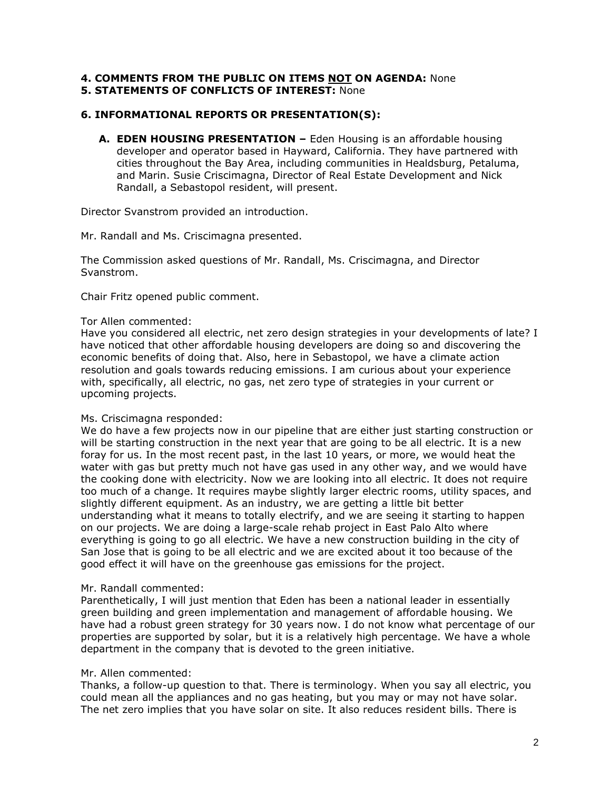# **4. COMMENTS FROM THE PUBLIC ON ITEMS NOT ON AGENDA:** None

# **5. STATEMENTS OF CONFLICTS OF INTEREST:** None

# **6. INFORMATIONAL REPORTS OR PRESENTATION(S):**

**A. EDEN HOUSING PRESENTATION –** Eden Housing is an affordable housing developer and operator based in Hayward, California. They have partnered with cities throughout the Bay Area, including communities in Healdsburg, Petaluma, and Marin. Susie Criscimagna, Director of Real Estate Development and Nick Randall, a Sebastopol resident, will present.

Director Svanstrom provided an introduction.

Mr. Randall and Ms. Criscimagna presented.

The Commission asked questions of Mr. Randall, Ms. Criscimagna, and Director Svanstrom.

Chair Fritz opened public comment.

#### Tor Allen commented:

Have you considered all electric, net zero design strategies in your developments of late? I have noticed that other affordable housing developers are doing so and discovering the economic benefits of doing that. Also, here in Sebastopol, we have a climate action resolution and goals towards reducing emissions. I am curious about your experience with, specifically, all electric, no gas, net zero type of strategies in your current or upcoming projects.

#### Ms. Criscimagna responded:

We do have a few projects now in our pipeline that are either just starting construction or will be starting construction in the next year that are going to be all electric. It is a new foray for us. In the most recent past, in the last 10 years, or more, we would heat the water with gas but pretty much not have gas used in any other way, and we would have the cooking done with electricity. Now we are looking into all electric. It does not require too much of a change. It requires maybe slightly larger electric rooms, utility spaces, and slightly different equipment. As an industry, we are getting a little bit better understanding what it means to totally electrify, and we are seeing it starting to happen on our projects. We are doing a large-scale rehab project in East Palo Alto where everything is going to go all electric. We have a new construction building in the city of San Jose that is going to be all electric and we are excited about it too because of the good effect it will have on the greenhouse gas emissions for the project.

#### Mr. Randall commented:

Parenthetically, I will just mention that Eden has been a national leader in essentially green building and green implementation and management of affordable housing. We have had a robust green strategy for 30 years now. I do not know what percentage of our properties are supported by solar, but it is a relatively high percentage. We have a whole department in the company that is devoted to the green initiative.

#### Mr. Allen commented:

Thanks, a follow-up question to that. There is terminology. When you say all electric, you could mean all the appliances and no gas heating, but you may or may not have solar. The net zero implies that you have solar on site. It also reduces resident bills. There is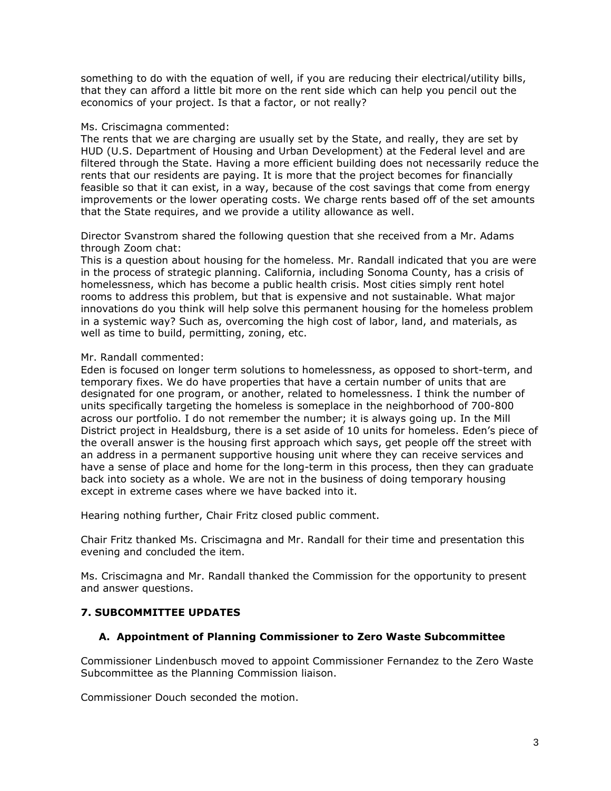something to do with the equation of well, if you are reducing their electrical/utility bills, that they can afford a little bit more on the rent side which can help you pencil out the economics of your project. Is that a factor, or not really?

#### Ms. Criscimagna commented:

The rents that we are charging are usually set by the State, and really, they are set by HUD (U.S. Department of Housing and Urban Development) at the Federal level and are filtered through the State. Having a more efficient building does not necessarily reduce the rents that our residents are paying. It is more that the project becomes for financially feasible so that it can exist, in a way, because of the cost savings that come from energy improvements or the lower operating costs. We charge rents based off of the set amounts that the State requires, and we provide a utility allowance as well.

Director Svanstrom shared the following question that she received from a Mr. Adams through Zoom chat:

This is a question about housing for the homeless. Mr. Randall indicated that you are were in the process of strategic planning. California, including Sonoma County, has a crisis of homelessness, which has become a public health crisis. Most cities simply rent hotel rooms to address this problem, but that is expensive and not sustainable. What major innovations do you think will help solve this permanent housing for the homeless problem in a systemic way? Such as, overcoming the high cost of labor, land, and materials, as well as time to build, permitting, zoning, etc.

# Mr. Randall commented:

Eden is focused on longer term solutions to homelessness, as opposed to short-term, and temporary fixes. We do have properties that have a certain number of units that are designated for one program, or another, related to homelessness. I think the number of units specifically targeting the homeless is someplace in the neighborhood of 700-800 across our portfolio. I do not remember the number; it is always going up. In the Mill District project in Healdsburg, there is a set aside of 10 units for homeless. Eden's piece of the overall answer is the housing first approach which says, get people off the street with an address in a permanent supportive housing unit where they can receive services and have a sense of place and home for the long-term in this process, then they can graduate back into society as a whole. We are not in the business of doing temporary housing except in extreme cases where we have backed into it.

Hearing nothing further, Chair Fritz closed public comment.

Chair Fritz thanked Ms. Criscimagna and Mr. Randall for their time and presentation this evening and concluded the item.

Ms. Criscimagna and Mr. Randall thanked the Commission for the opportunity to present and answer questions.

# **7. SUBCOMMITTEE UPDATES**

# **A. Appointment of Planning Commissioner to Zero Waste Subcommittee**

Commissioner Lindenbusch moved to appoint Commissioner Fernandez to the Zero Waste Subcommittee as the Planning Commission liaison.

Commissioner Douch seconded the motion.